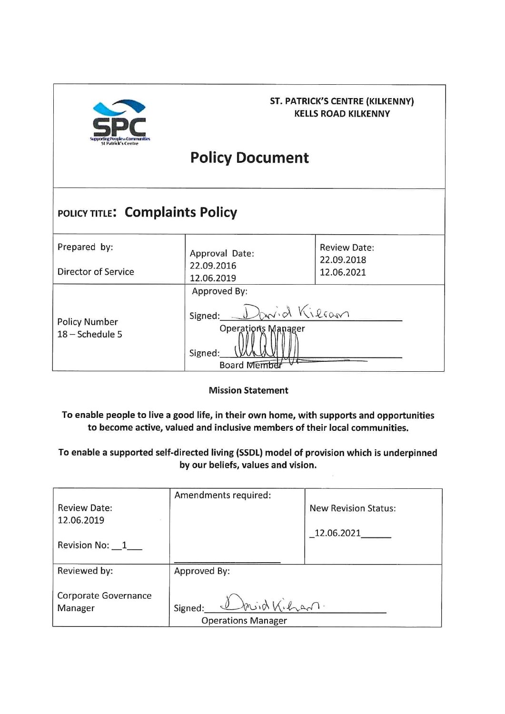

## **ST. PATRICK'S CENTRE (KILKENNY) KELLS ROAD KILKENNY**

# **Policy Document**

## POLICY TITLE: Complaints Policy

| Prepared by:                            | Approval Date:                                                                                 | <b>Review Date:</b><br>22.09.2018 |  |
|-----------------------------------------|------------------------------------------------------------------------------------------------|-----------------------------------|--|
| Director of Service                     | 22.09.2016<br>12.06.2019                                                                       | 12.06.2021                        |  |
| <b>Policy Number</b><br>18 - Schedule 5 | Approved By:<br>Parid Kilcan<br>Signed:<br><b>Operations Manager</b><br>Signed:<br>Board Membe |                                   |  |

**Mission Statement** 

To enable people to live a good life, in their own home, with supports and opportunities to become active, valued and inclusive members of their local communities.

To enable a supported self-directed living (SSDL) model of provision which is underpinned by our beliefs, values and vision.

| <b>Review Date:</b><br>12.06.2019<br>Revision No: 1 | Amendments required:                                  | <b>New Revision Status:</b><br>12.06.2021 |
|-----------------------------------------------------|-------------------------------------------------------|-------------------------------------------|
| Reviewed by:                                        | Approved By:                                          |                                           |
| Corporate Governance<br>Manager                     | David Kilzan.<br>Signed:<br><b>Operations Manager</b> |                                           |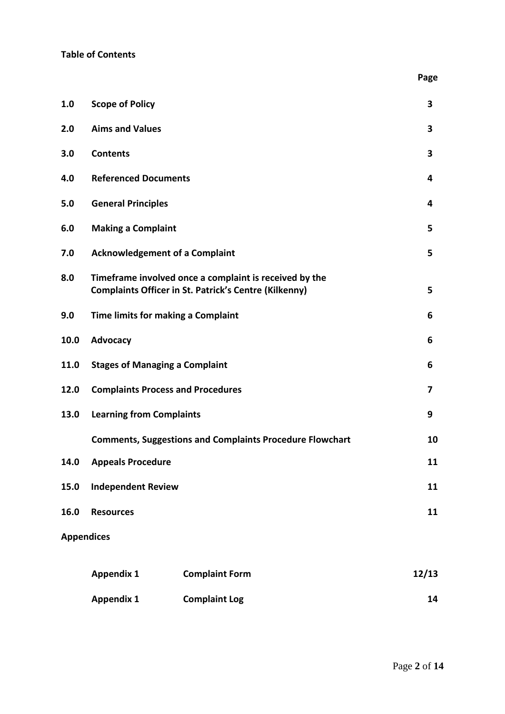|      |                                          |                                                                                                                        | Page  |
|------|------------------------------------------|------------------------------------------------------------------------------------------------------------------------|-------|
| 1.0  | <b>Scope of Policy</b>                   | 3                                                                                                                      |       |
| 2.0  | <b>Aims and Values</b>                   |                                                                                                                        |       |
| 3.0  | <b>Contents</b>                          |                                                                                                                        |       |
| 4.0  | <b>Referenced Documents</b>              |                                                                                                                        |       |
| 5.0  | <b>General Principles</b>                |                                                                                                                        |       |
| 6.0  | <b>Making a Complaint</b>                |                                                                                                                        |       |
| 7.0  | <b>Acknowledgement of a Complaint</b>    |                                                                                                                        |       |
| 8.0  |                                          | Timeframe involved once a complaint is received by the<br><b>Complaints Officer in St. Patrick's Centre (Kilkenny)</b> | 5     |
| 9.0  | Time limits for making a Complaint       |                                                                                                                        | 6     |
| 10.0 | Advocacy                                 |                                                                                                                        | 6     |
| 11.0 | <b>Stages of Managing a Complaint</b>    |                                                                                                                        |       |
| 12.0 | <b>Complaints Process and Procedures</b> |                                                                                                                        | 7     |
| 13.0 | <b>Learning from Complaints</b>          |                                                                                                                        | 9     |
|      |                                          | <b>Comments, Suggestions and Complaints Procedure Flowchart</b>                                                        | 10    |
| 14.0 | <b>Appeals Procedure</b>                 |                                                                                                                        | 11    |
| 15.0 | <b>Independent Review</b>                |                                                                                                                        | 11    |
| 16.0 | <b>Resources</b>                         |                                                                                                                        | 11    |
|      | <b>Appendices</b>                        |                                                                                                                        |       |
|      | <b>Appendix 1</b>                        | <b>Complaint Form</b>                                                                                                  | 12/13 |
|      | <b>Appendix 1</b>                        | <b>Complaint Log</b>                                                                                                   | 14    |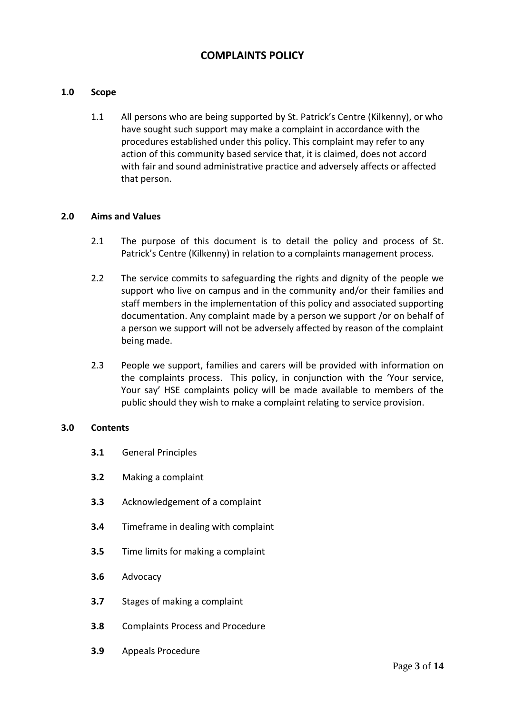## **COMPLAINTS POLICY**

#### **1.0 Scope**

1.1 All persons who are being supported by St. Patrick's Centre (Kilkenny), or who have sought such support may make a complaint in accordance with the procedures established under this policy. This complaint may refer to any action of this community based service that, it is claimed, does not accord with fair and sound administrative practice and adversely affects or affected that person.

#### **2.0 Aims and Values**

- 2.1 The purpose of this document is to detail the policy and process of St. Patrick's Centre (Kilkenny) in relation to a complaints management process.
- 2.2 The service commits to safeguarding the rights and dignity of the people we support who live on campus and in the community and/or their families and staff members in the implementation of this policy and associated supporting documentation. Any complaint made by a person we support /or on behalf of a person we support will not be adversely affected by reason of the complaint being made.
- 2.3 People we support, families and carers will be provided with information on the complaints process. This policy, in conjunction with the 'Your service, Your say' HSE complaints policy will be made available to members of the public should they wish to make a complaint relating to service provision.

#### **3.0 Contents**

- **3.1** General Principles
- **3.2** Making a complaint
- **3.3** Acknowledgement of a complaint
- **3.4** Timeframe in dealing with complaint
- **3.5** Time limits for making a complaint
- **3.6** Advocacy
- **3.7** Stages of making a complaint
- **3.8** Complaints Process and Procedure
- **3.9** Appeals Procedure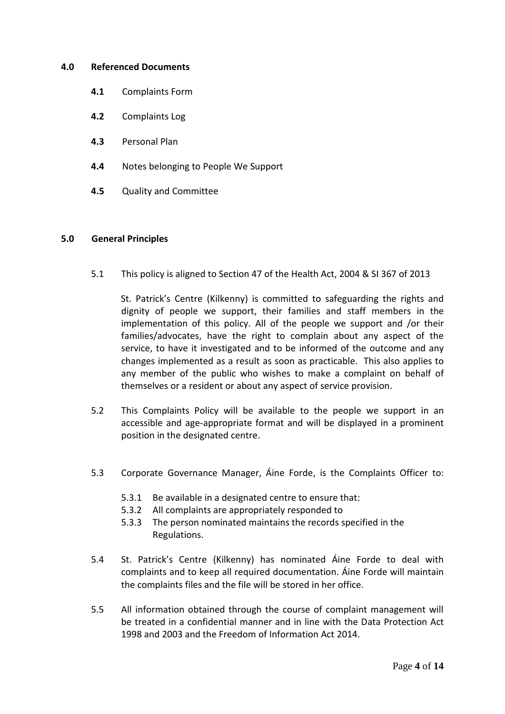#### **4.0 Referenced Documents**

- **4.1** Complaints Form
- **4.2** Complaints Log
- **4.3** Personal Plan
- **4.4** Notes belonging to People We Support
- **4.5** Quality and Committee

#### **5.0 General Principles**

5.1 This policy is aligned to Section 47 of the Health Act, 2004 & SI 367 of 2013

 St. Patrick's Centre (Kilkenny) is committed to safeguarding the rights and dignity of people we support, their families and staff members in the implementation of this policy. All of the people we support and /or their families/advocates, have the right to complain about any aspect of the service, to have it investigated and to be informed of the outcome and any changes implemented as a result as soon as practicable. This also applies to any member of the public who wishes to make a complaint on behalf of themselves or a resident or about any aspect of service provision.

- 5.2 This Complaints Policy will be available to the people we support in an accessible and age-appropriate format and will be displayed in a prominent position in the designated centre.
- 5.3 Corporate Governance Manager, Áine Forde, is the Complaints Officer to:
	- 5.3.1 Be available in a designated centre to ensure that:
	- 5.3.2 All complaints are appropriately responded to
	- 5.3.3 The person nominated maintains the records specified in the Regulations.
- 5.4 St. Patrick's Centre (Kilkenny) has nominated Áine Forde to deal with complaints and to keep all required documentation. Áine Forde will maintain the complaints files and the file will be stored in her office.
- 5.5 All information obtained through the course of complaint management will be treated in a confidential manner and in line with the Data Protection Act 1998 and 2003 and the Freedom of Information Act 2014.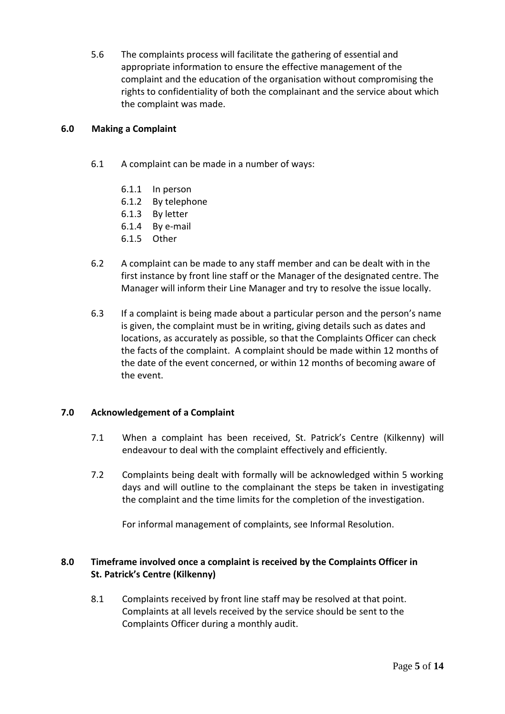5.6 The complaints process will facilitate the gathering of essential and appropriate information to ensure the effective management of the complaint and the education of the organisation without compromising the rights to confidentiality of both the complainant and the service about which the complaint was made.

#### **6.0 Making a Complaint**

- 6.1 A complaint can be made in a number of ways:
	- 6.1.1 In person
	- 6.1.2 By telephone
	- 6.1.3 By letter
	- 6.1.4 By e-mail
	- 6.1.5 Other
- 6.2 A complaint can be made to any staff member and can be dealt with in the first instance by front line staff or the Manager of the designated centre. The Manager will inform their Line Manager and try to resolve the issue locally.
- 6.3 If a complaint is being made about a particular person and the person's name is given, the complaint must be in writing, giving details such as dates and locations, as accurately as possible, so that the Complaints Officer can check the facts of the complaint. A complaint should be made within 12 months of the date of the event concerned, or within 12 months of becoming aware of the event.

#### **7.0 Acknowledgement of a Complaint**

- 7.1 When a complaint has been received, St. Patrick's Centre (Kilkenny) will endeavour to deal with the complaint effectively and efficiently.
- 7.2 Complaints being dealt with formally will be acknowledged within 5 working days and will outline to the complainant the steps be taken in investigating the complaint and the time limits for the completion of the investigation.

For informal management of complaints, see Informal Resolution.

#### **8.0 Timeframe involved once a complaint is received by the Complaints Officer in St. Patrick's Centre (Kilkenny)**

8.1 Complaints received by front line staff may be resolved at that point. Complaints at all levels received by the service should be sent to the Complaints Officer during a monthly audit.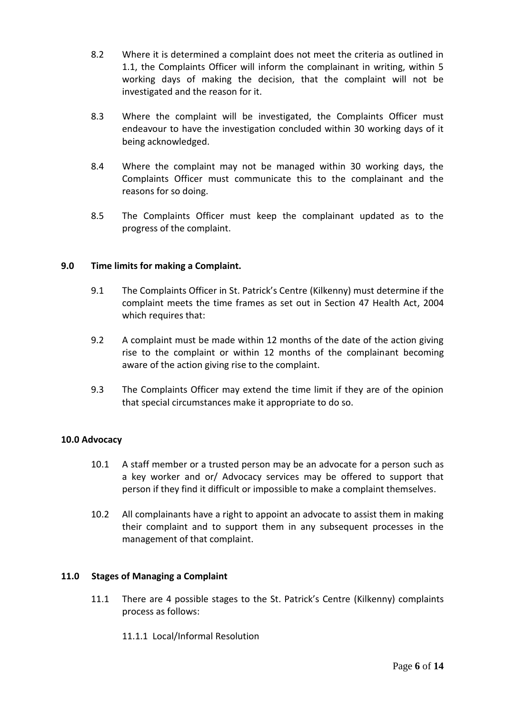- 8.2 Where it is determined a complaint does not meet the criteria as outlined in 1.1, the Complaints Officer will inform the complainant in writing, within 5 working days of making the decision, that the complaint will not be investigated and the reason for it.
- 8.3 Where the complaint will be investigated, the Complaints Officer must endeavour to have the investigation concluded within 30 working days of it being acknowledged.
- 8.4 Where the complaint may not be managed within 30 working days, the Complaints Officer must communicate this to the complainant and the reasons for so doing.
- 8.5 The Complaints Officer must keep the complainant updated as to the progress of the complaint.

#### **9.0 Time limits for making a Complaint.**

- 9.1 The Complaints Officer in St. Patrick's Centre (Kilkenny) must determine if the complaint meets the time frames as set out in Section 47 Health Act, 2004 which requires that:
- 9.2 A complaint must be made within 12 months of the date of the action giving rise to the complaint or within 12 months of the complainant becoming aware of the action giving rise to the complaint.
- 9.3 The Complaints Officer may extend the time limit if they are of the opinion that special circumstances make it appropriate to do so.

#### **10.0 Advocacy**

- 10.1 A staff member or a trusted person may be an advocate for a person such as a key worker and or/ Advocacy services may be offered to support that person if they find it difficult or impossible to make a complaint themselves.
- 10.2 All complainants have a right to appoint an advocate to assist them in making their complaint and to support them in any subsequent processes in the management of that complaint.

#### **11.0 Stages of Managing a Complaint**

- 11.1 There are 4 possible stages to the St. Patrick's Centre (Kilkenny) complaints process as follows:
	- 11.1.1 Local/Informal Resolution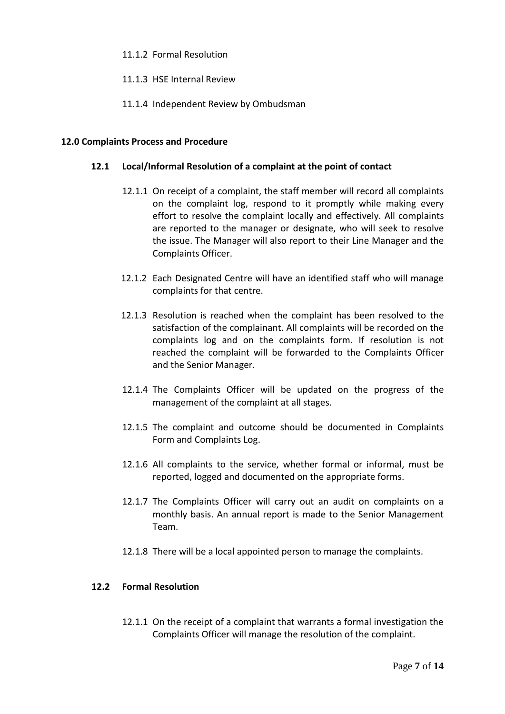#### 11.1.2 Formal Resolution

#### 11.1.3 HSE Internal Review

11.1.4 Independent Review by Ombudsman

#### **12.0 Complaints Process and Procedure**

#### **12.1 Local/Informal Resolution of a complaint at the point of contact**

- 12.1.1 On receipt of a complaint, the staff member will record all complaints on the complaint log, respond to it promptly while making every effort to resolve the complaint locally and effectively. All complaints are reported to the manager or designate, who will seek to resolve the issue. The Manager will also report to their Line Manager and the Complaints Officer.
- 12.1.2 Each Designated Centre will have an identified staff who will manage complaints for that centre.
- 12.1.3 Resolution is reached when the complaint has been resolved to the satisfaction of the complainant. All complaints will be recorded on the complaints log and on the complaints form. If resolution is not reached the complaint will be forwarded to the Complaints Officer and the Senior Manager.
- 12.1.4 The Complaints Officer will be updated on the progress of the management of the complaint at all stages.
- 12.1.5 The complaint and outcome should be documented in Complaints Form and Complaints Log.
- 12.1.6 All complaints to the service, whether formal or informal, must be reported, logged and documented on the appropriate forms.
- 12.1.7 The Complaints Officer will carry out an audit on complaints on a monthly basis. An annual report is made to the Senior Management Team.
- 12.1.8 There will be a local appointed person to manage the complaints.

#### **12.2 Formal Resolution**

12.1.1 On the receipt of a complaint that warrants a formal investigation the Complaints Officer will manage the resolution of the complaint.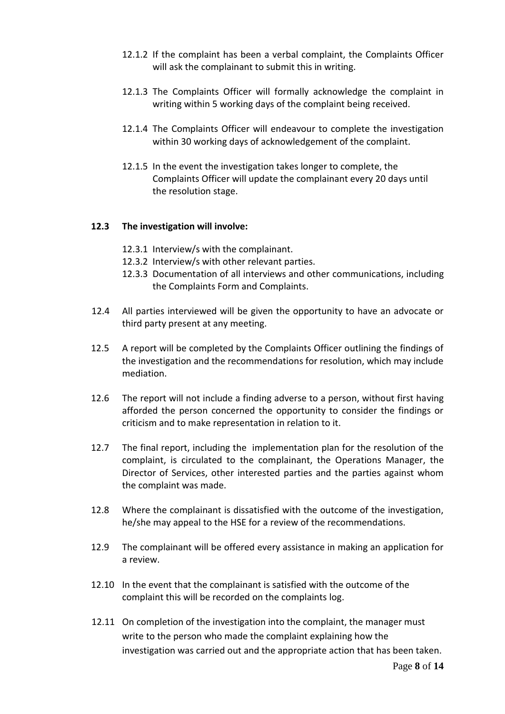- 12.1.2 If the complaint has been a verbal complaint, the Complaints Officer will ask the complainant to submit this in writing.
- 12.1.3 The Complaints Officer will formally acknowledge the complaint in writing within 5 working days of the complaint being received.
- 12.1.4 The Complaints Officer will endeavour to complete the investigation within 30 working days of acknowledgement of the complaint.
- 12.1.5 In the event the investigation takes longer to complete, the Complaints Officer will update the complainant every 20 days until the resolution stage.

#### **12.3 The investigation will involve:**

- 12.3.1 Interview/s with the complainant.
- 12.3.2 Interview/s with other relevant parties.
- 12.3.3 Documentation of all interviews and other communications, including the Complaints Form and Complaints.
- 12.4 All parties interviewed will be given the opportunity to have an advocate or third party present at any meeting.
- 12.5 A report will be completed by the Complaints Officer outlining the findings of the investigation and the recommendations for resolution, which may include mediation.
- 12.6 The report will not include a finding adverse to a person, without first having afforded the person concerned the opportunity to consider the findings or criticism and to make representation in relation to it.
- 12.7 The final report, including the implementation plan for the resolution of the complaint, is circulated to the complainant, the Operations Manager, the Director of Services, other interested parties and the parties against whom the complaint was made.
- 12.8 Where the complainant is dissatisfied with the outcome of the investigation, he/she may appeal to the HSE for a review of the recommendations.
- 12.9 The complainant will be offered every assistance in making an application for a review.
- 12.10 In the event that the complainant is satisfied with the outcome of the complaint this will be recorded on the complaints log.
- 12.11 On completion of the investigation into the complaint, the manager must write to the person who made the complaint explaining how the investigation was carried out and the appropriate action that has been taken.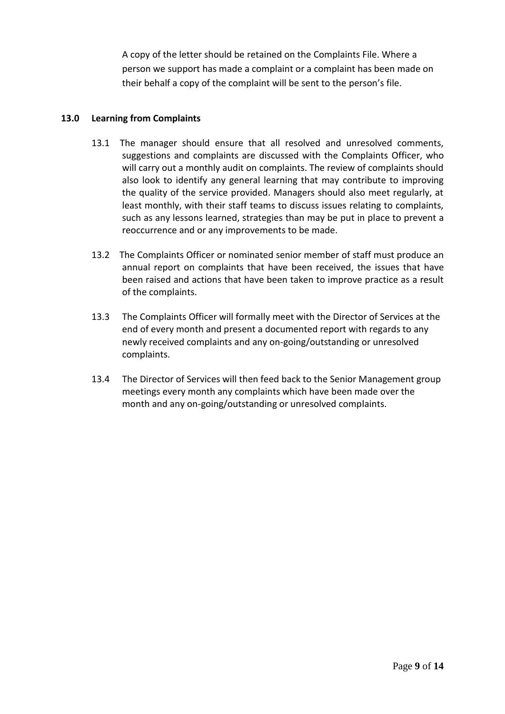A copy of the letter should be retained on the Complaints File. Where a person we support has made a complaint or a complaint has been made on their behalf a copy of the complaint will be sent to the person's file.

#### **13.0 Learning from Complaints**

- 13.1 The manager should ensure that all resolved and unresolved comments, suggestions and complaints are discussed with the Complaints Officer, who will carry out a monthly audit on complaints. The review of complaints should also look to identify any general learning that may contribute to improving the quality of the service provided. Managers should also meet regularly, at least monthly, with their staff teams to discuss issues relating to complaints, such as any lessons learned, strategies than may be put in place to prevent a reoccurrence and or any improvements to be made.
- 13.2 The Complaints Officer or nominated senior member of staff must produce an annual report on complaints that have been received, the issues that have been raised and actions that have been taken to improve practice as a result of the complaints.
- 13.3 The Complaints Officer will formally meet with the Director of Services at the end of every month and present a documented report with regards to any newly received complaints and any on-going/outstanding or unresolved complaints.
- 13.4 The Director of Services will then feed back to the Senior Management group meetings every month any complaints which have been made over the month and any on-going/outstanding or unresolved complaints.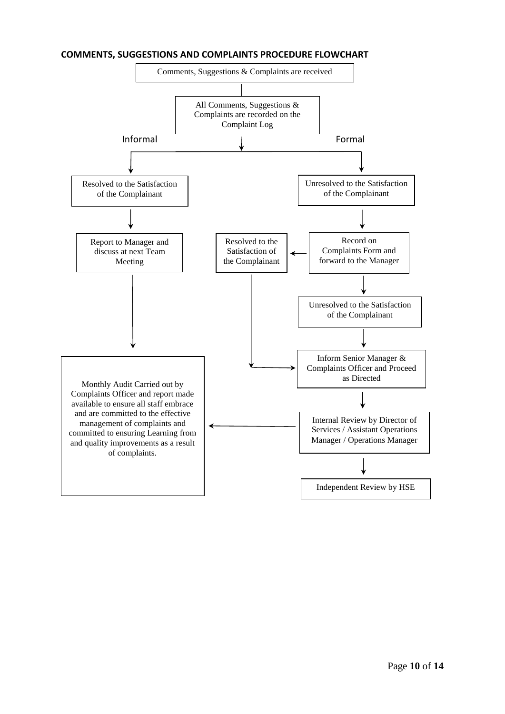#### **COMMENTS, SUGGESTIONS AND COMPLAINTS PROCEDURE FLOWCHART**

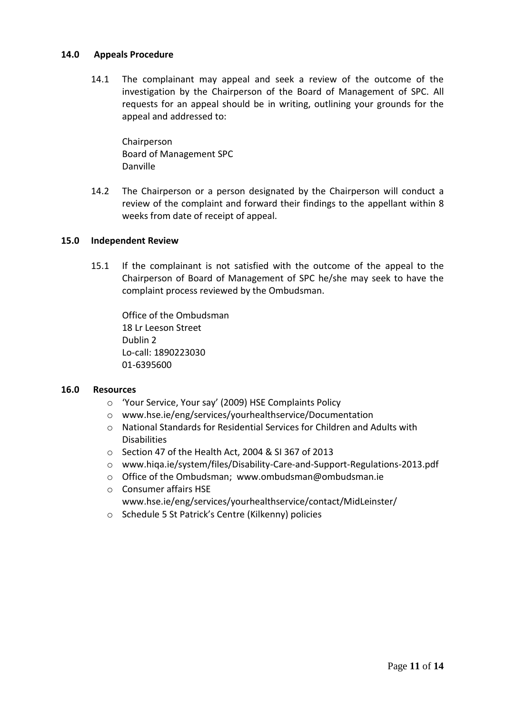#### **14.0 Appeals Procedure**

14.1 The complainant may appeal and seek a review of the outcome of the investigation by the Chairperson of the Board of Management of SPC. All requests for an appeal should be in writing, outlining your grounds for the appeal and addressed to:

Chairperson Board of Management SPC Danville

14.2 The Chairperson or a person designated by the Chairperson will conduct a review of the complaint and forward their findings to the appellant within 8 weeks from date of receipt of appeal.

#### **15.0 Independent Review**

15.1 If the complainant is not satisfied with the outcome of the appeal to the Chairperson of Board of Management of SPC he/she may seek to have the complaint process reviewed by the Ombudsman.

Office of the Ombudsman 18 Lr Leeson Street Dublin 2 Lo-call: 1890223030 01-6395600

#### **16.0 Resources**

- o 'Your Service, Your say' (2009) HSE Complaints Policy
- o www.hse.ie/eng/services/yourhealthservice/Documentation
- o National Standards for Residential Services for Children and Adults with **Disabilities**
- o Section 47 of the Health Act, 2004 & SI 367 of 2013
- o www.hiqa.ie/system/files/Disability-Care-and-Support-Regulations-2013.pdf
- o Office of the Ombudsman; www[.ombudsman@ombudsman.ie](mailto:ombudsman@ombudsman.ie)
- o Consumer affairs HSE www.hse.ie/eng/services/yourhealthservice/contact/MidLeinster/
- o Schedule 5 St Patrick's Centre (Kilkenny) policies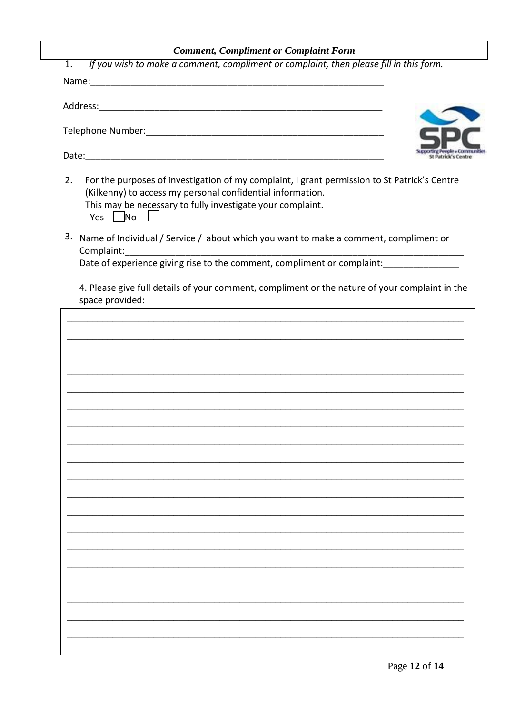## **Comment, Compliment or Complaint Form**

| If you wish to make a comment, compliment or complaint, then please fill in this form.<br>1.                                                                                                                                                    |
|-------------------------------------------------------------------------------------------------------------------------------------------------------------------------------------------------------------------------------------------------|
|                                                                                                                                                                                                                                                 |
|                                                                                                                                                                                                                                                 |
|                                                                                                                                                                                                                                                 |
| For the purposes of investigation of my complaint, I grant permission to St Patrick's Centre<br>2.<br>(Kilkenny) to access my personal confidential information.<br>This may be necessary to fully investigate your complaint.<br>$Yes \mid No$ |
| 3.<br>Name of Individual / Service / about which you want to make a comment, compliment or<br>Complaint:                                                                                                                                        |
| Date of experience giving rise to the comment, compliment or complaint:                                                                                                                                                                         |
| 4. Please give full details of your comment, compliment or the nature of your complaint in the<br>space provided:                                                                                                                               |
|                                                                                                                                                                                                                                                 |
|                                                                                                                                                                                                                                                 |
| and the control of the control of the control of the control of the control of the control of the control of the                                                                                                                                |
| and the control of the control of the control of the control of the control of the control of the control of the                                                                                                                                |
| <u> 1989 - Johann John Stone, markin film yn y brenin y brenin y brenin y brenin y brenin y brenin y brenin y br</u>                                                                                                                            |
|                                                                                                                                                                                                                                                 |
| <u> 1989 - Johann Barbara, margaret eta biztanleria (h. 1989).</u>                                                                                                                                                                              |
|                                                                                                                                                                                                                                                 |
|                                                                                                                                                                                                                                                 |
|                                                                                                                                                                                                                                                 |
|                                                                                                                                                                                                                                                 |
|                                                                                                                                                                                                                                                 |
|                                                                                                                                                                                                                                                 |
|                                                                                                                                                                                                                                                 |
|                                                                                                                                                                                                                                                 |
|                                                                                                                                                                                                                                                 |
|                                                                                                                                                                                                                                                 |
|                                                                                                                                                                                                                                                 |
|                                                                                                                                                                                                                                                 |
|                                                                                                                                                                                                                                                 |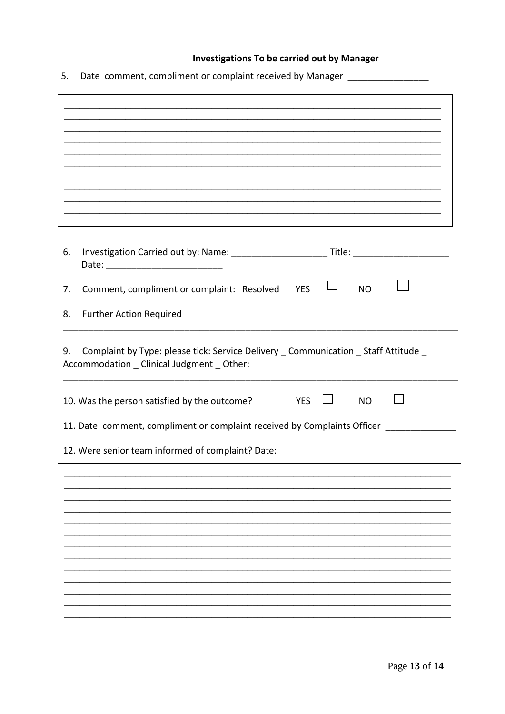## **Investigations To be carried out by Manager**

5. Date comment, compliment or complaint received by Manager \_\_\_\_\_\_\_\_\_\_\_\_\_\_\_\_\_\_\_

| 6.                                                                                                                                      |                                                                          |  |  |
|-----------------------------------------------------------------------------------------------------------------------------------------|--------------------------------------------------------------------------|--|--|
| 7.                                                                                                                                      | Comment, compliment or complaint: Resolved<br><b>YES</b><br><b>NO</b>    |  |  |
| 8.                                                                                                                                      | <b>Further Action Required</b>                                           |  |  |
| Complaint by Type: please tick: Service Delivery _ Communication _ Staff Attitude _<br>9.<br>Accommodation _ Clinical Judgment _ Other: |                                                                          |  |  |
|                                                                                                                                         | 10. Was the person satisfied by the outcome?<br><b>YES</b><br><b>NO</b>  |  |  |
|                                                                                                                                         | 11. Date comment, compliment or complaint received by Complaints Officer |  |  |
|                                                                                                                                         | 12. Were senior team informed of complaint? Date:                        |  |  |
|                                                                                                                                         |                                                                          |  |  |
|                                                                                                                                         |                                                                          |  |  |
|                                                                                                                                         |                                                                          |  |  |
|                                                                                                                                         |                                                                          |  |  |
|                                                                                                                                         |                                                                          |  |  |
|                                                                                                                                         |                                                                          |  |  |